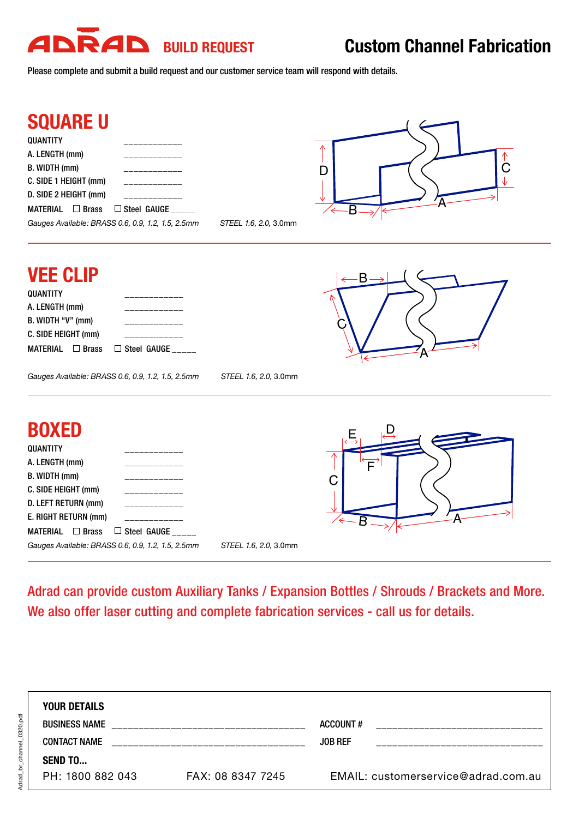## **ADRAD** BUILD REQUEST Custom Channel Fabrication

*Gauges Available: BRASS 0.6, 0.9, 1.2, 1.5, 2.5mm STEEL 1.6, 2.0,* 3.0mm

Please complete and submit a build request and our customer service team will respond with details.



| <b>VEE CLIP</b><br><b>QUANTITY</b><br>A. LENGTH (mm)<br>B. WIDTH "V" (mm)<br>C. SIDE HEIGHT (mm)<br>$\Box$ Brass<br><b>MATERIAL</b><br>Steel GAUGE _____<br>$\Box$<br>Gauges Available: BRASS 0.6, 0.9, 1.2, 1.5, 2.5mm<br>STEEL 1.6, 2.0, 3.0mm | ٠B     |
|--------------------------------------------------------------------------------------------------------------------------------------------------------------------------------------------------------------------------------------------------|--------|
| <b>BOXED</b><br><b>QUANTITY</b><br>A. LENGTH (mm)<br>B. WIDTH (mm)<br>C. SIDE HEIGHT (mm)<br>D. LEFT RETURN (mm)<br>E. RIGHT RETURN (mm)<br>$\Box$ Brass<br>Steel GAUGE<br><b>MATERIAL</b><br>□                                                  | E<br>Α |

Adrad can provide custom Auxiliary Tanks / Expansion Bottles / Shrouds / Brackets and More. We also offer laser cutting and complete fabrication services - call us for details.

| <b>YOUR DETAILS</b>  |                   |                                     |
|----------------------|-------------------|-------------------------------------|
| <b>BUSINESS NAME</b> |                   | ACCOUNT#                            |
| <b>CONTACT NAME</b>  |                   | <b>JOB REF</b>                      |
| <b>SEND TO</b>       |                   |                                     |
| PH: 1800 882 043     | FAX: 08 8347 7245 | EMAIL: customerservice@adrad.com.au |